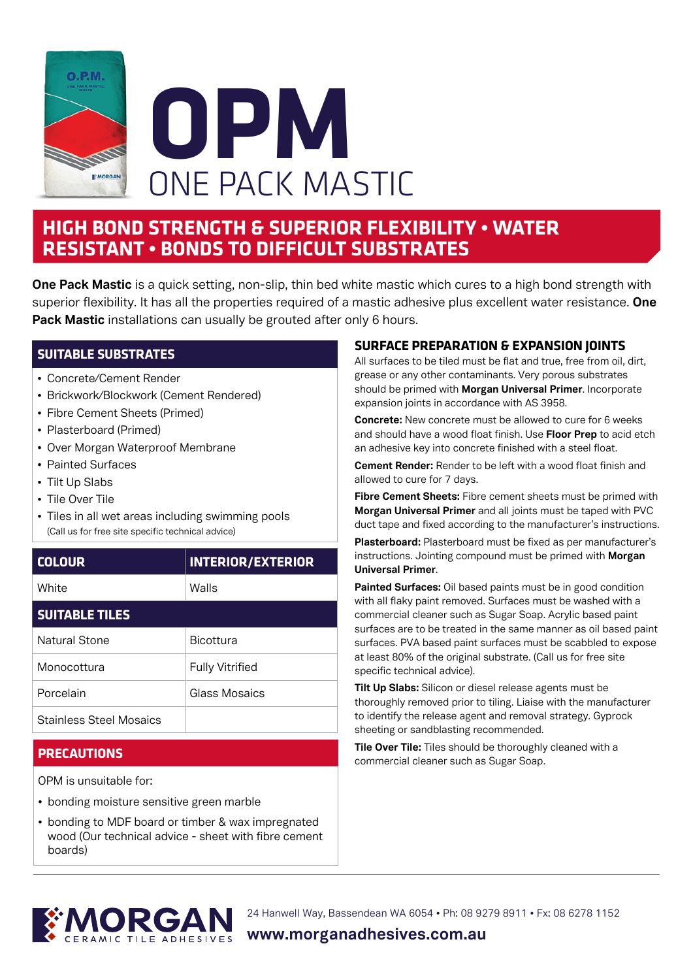



## **HIGH BOND STRENGTH & SUPERIOR FLEXIBILITY • WATER RESISTANT • BONDS TO DIFFICULT SUBSTRATES**

**One Pack Mastic** is a quick setting, non-slip, thin bed white mastic which cures to a high bond strength with superior flexibility. It has all the properties required of a mastic adhesive plus excellent water resistance. **One Pack Mastic** installations can usually be grouted after only 6 hours.

### **SUITABLE SUBSTRATES**

- Concrete/Cement Render
- Brickwork/Blockwork (Cement Rendered)
- Fibre Cement Sheets (Primed)
- Plasterboard (Primed)
- Over Morgan Waterproof Membrane
- Painted Surfaces
- Tilt Up Slabs
- Tile Over Tile
- Tiles in all wet areas including swimming pools (Call us for free site specific technical advice)

| <b>COLOUR</b> | <b>INTERIOR/EXTERIOR</b> |
|---------------|--------------------------|
| White         | Walls                    |

#### **SUITABLE TILES**

| Natural Stone                  | <b>Bicottura</b>       |
|--------------------------------|------------------------|
| Monocottura                    | <b>Fully Vitrified</b> |
| Porcelain                      | Glass Mosaics          |
| <b>Stainless Steel Mosaics</b> |                        |

#### **PRECAUTIONS**

OPM is unsuitable for:

- bonding moisture sensitive green marble
- bonding to MDF board or timber & wax impregnated wood (Our technical advice - sheet with fibre cement boards)

#### **SURFACE PREPARATION & EXPANSION JOINTS**

All surfaces to be tiled must be flat and true, free from oil, dirt, grease or any other contaminants. Very porous substrates should be primed with **Morgan Universal Primer**. Incorporate expansion joints in accordance with AS 3958.

**Concrete:** New concrete must be allowed to cure for 6 weeks and should have a wood float finish. Use **Floor Prep** to acid etch an adhesive key into concrete finished with a steel float.

**Cement Render:** Render to be left with a wood float finish and allowed to cure for 7 days.

**Fibre Cement Sheets:** Fibre cement sheets must be primed with **Morgan Universal Primer** and all joints must be taped with PVC duct tape and fixed according to the manufacturer's instructions.

**Plasterboard:** Plasterboard must be fixed as per manufacturer's instructions. Jointing compound must be primed with **Morgan Universal Primer**.

**Painted Surfaces:** Oil based paints must be in good condition with all flaky paint removed. Surfaces must be washed with a commercial cleaner such as Sugar Soap. Acrylic based paint surfaces are to be treated in the same manner as oil based paint surfaces. PVA based paint surfaces must be scabbled to expose at least 80% of the original substrate. (Call us for free site specific technical advice).

**Tilt Up Slabs:** Silicon or diesel release agents must be thoroughly removed prior to tiling. Liaise with the manufacturer to identify the release agent and removal strategy. Gyprock sheeting or sandblasting recommended.

**Tile Over Tile:** Tiles should be thoroughly cleaned with a commercial cleaner such as Sugar Soap.



24 Hanwell Way, Bassendean WA 6054 • Ph: 08 9279 8911 • Fx: 08 6278 1152

**www.morganadhesives.com.au**